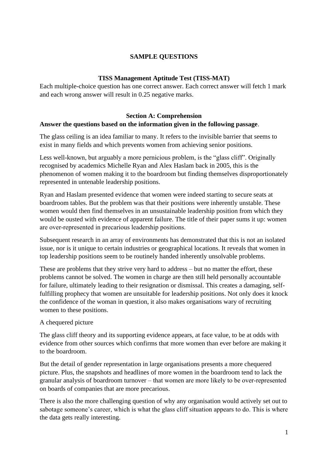# **SAMPLE QUESTIONS**

### **TISS Management Aptitude Test (TISS-MAT)**

Each multiple-choice question has one correct answer. Each correct answer will fetch 1 mark and each wrong answer will result in 0.25 negative marks.

# **Section A: Comprehension Answer the questions based on the information given in the following passage**.

The glass ceiling is an idea familiar to many. It refers to the invisible barrier that seems to exist in many fields and which prevents women from achieving senior positions.

Less well-known, but arguably a more pernicious problem, is the "glass cliff". Originally recognised by academics Michelle Ryan and Alex Haslam back in 2005, this is the phenomenon of women making it to the boardroom but finding themselves disproportionately represented in untenable leadership positions.

Ryan and Haslam presented evidence that women were indeed starting to secure seats at boardroom tables. But the problem was that their positions were inherently unstable. These women would then find themselves in an unsustainable leadership position from which they would be ousted with evidence of apparent failure. The title of their paper sums it up: women are over‐represented in precarious leadership positions.

Subsequent research in an array of environments has demonstrated that this is not an isolated issue, nor is it unique to certain industries or geographical locations. It reveals that women in top leadership positions seem to be routinely handed inherently unsolvable problems.

These are problems that they strive very hard to address – but no matter the effort, these problems cannot be solved. The women in charge are then still held personally accountable for failure, ultimately leading to their resignation or dismissal. This creates a damaging, selffulfilling prophecy that women are unsuitable for leadership positions. Not only does it knock the confidence of the woman in question, it also makes organisations wary of recruiting women to these positions.

# A chequered picture

The glass cliff theory and its supporting evidence appears, at face value, to be at odds with evidence from other sources which confirms that more women than ever before are making it to the boardroom.

But the detail of gender representation in large organisations presents a more chequered picture. Plus, the snapshots and headlines of more women in the boardroom tend to lack the granular analysis of boardroom turnover – that women are more likely to be over‐represented on boards of companies that are more precarious.

There is also the more challenging question of why any organisation would actively set out to sabotage someone's career, which is what the glass cliff situation appears to do. This is where the data gets really interesting.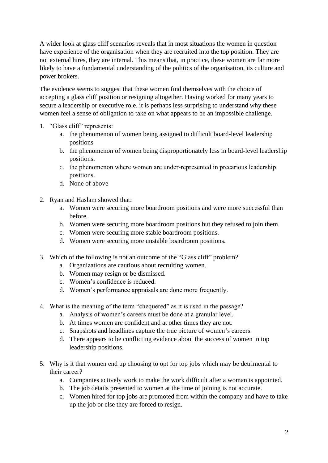A wider look at glass cliff scenarios reveals that in most situations the women in question have experience of the organisation when they are recruited into the top position. They are not external hires, they are internal. This means that, in practice, these women are far more likely to have a fundamental understanding of the politics of the organisation, its culture and power brokers.

The evidence seems to suggest that these women find themselves with the choice of accepting a glass cliff position or resigning altogether. Having worked for many years to secure a leadership or executive role, it is perhaps less surprising to understand why these women feel a sense of obligation to take on what appears to be an impossible challenge.

- 1. "Glass cliff" represents:
	- a. the phenomenon of women being assigned to difficult board-level leadership positions
	- b. the phenomenon of women being disproportionately less in board-level leadership positions.
	- c. the phenomenon where women are under‐represented in precarious leadership positions.
	- d. None of above
- 2. Ryan and Haslam showed that:
	- a. Women were securing more boardroom positions and were more successful than before.
	- b. Women were securing more boardroom positions but they refused to join them.
	- c. Women were securing more stable boardroom positions.
	- d. Women were securing more unstable boardroom positions.
- 3. Which of the following is not an outcome of the "Glass cliff" problem?
	- a. Organizations are cautious about recruiting women.
	- b. Women may resign or be dismissed.
	- c. Women's confidence is reduced.
	- d. Women's performance appraisals are done more frequently.
- 4. What is the meaning of the term "chequered" as it is used in the passage?
	- a. Analysis of women's careers must be done at a granular level.
	- b. At times women are confident and at other times they are not.
	- c. Snapshots and headlines capture the true picture of women's careers.
	- d. There appears to be conflicting evidence about the success of women in top leadership positions.
- 5. Why is it that women end up choosing to opt for top jobs which may be detrimental to their career?
	- a. Companies actively work to make the work difficult after a woman is appointed.
	- b. The job details presented to women at the time of joining is not accurate.
	- c. Women hired for top jobs are promoted from within the company and have to take up the job or else they are forced to resign.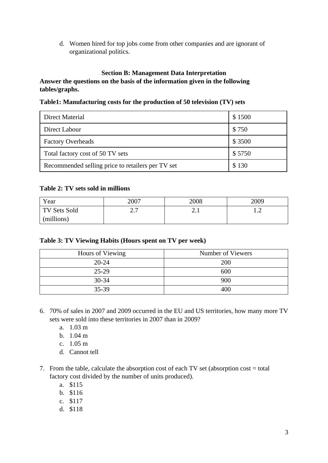d. Women hired for top jobs come from other companies and are ignorant of organizational politics.

# **Section B: Management Data Interpretation**

# **Answer the questions on the basis of the information given in the following tables/graphs.**

#### **Table1: Manufacturing costs for the production of 50 television (TV) sets**

| Direct Material                                   | \$1500 |
|---------------------------------------------------|--------|
| Direct Labour                                     | \$750  |
| <b>Factory Overheads</b>                          | \$3500 |
| Total factory cost of 50 TV sets                  | \$5750 |
| Recommended selling price to retailers per TV set | \$130  |

### **Table 2: TV sets sold in millions**

| Year         | 2007                 | 2008          | 2009         |
|--------------|----------------------|---------------|--------------|
| TV Sets Sold | $\sim$ $\sim$<br>، ، | ⌒<br><u>.</u> | . . <u>.</u> |
| (millions)   |                      |               |              |

#### **Table 3: TV Viewing Habits (Hours spent on TV per week)**

| Hours of Viewing | Number of Viewers |
|------------------|-------------------|
| $20 - 24$        | 200               |
| $25 - 29$        | 600               |
| $30 - 34$        | 900               |
| 35-39            | 400               |

- 6. 70% of sales in 2007 and 2009 occurred in the EU and US territories, how many more TV sets were sold into these territories in 2007 than in 2009?
	- a. 1.03 m
	- b. 1.04 m
	- c. 1.05 m
	- d. Cannot tell
- 7. From the table, calculate the absorption cost of each TV set (absorption cost = total factory cost divided by the number of units produced).
	- a. \$115
	- b. \$116
	- c. \$117
	- d. \$118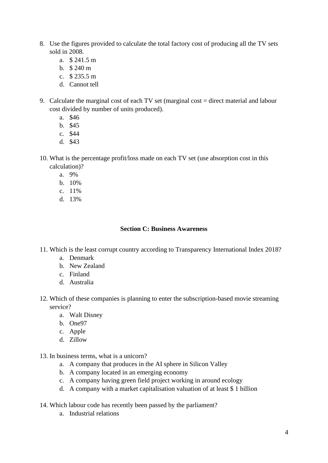- 8. Use the figures provided to calculate the total factory cost of producing all the TV sets sold in 2008.
	- a. \$ 241.5 m
	- b. \$ 240 m
	- c.  $$235.5 m$
	- d. Cannot tell
- 9. Calculate the marginal cost of each TV set (marginal cost = direct material and labour cost divided by number of units produced).
	- a. \$46
	- b. \$45
	- c. \$44
	- d. \$43
- 10. What is the percentage profit/loss made on each TV set (use absorption cost in this calculation)?
	- a. 9%
	- b. 10%
	- c. 11%
	- d. 13%

#### **Section C: Business Awareness**

- 11. Which is the least corrupt country according to Transparency International Index 2018?
	- a. Denmark
	- b. New Zealand
	- c. Finland
	- d. Australia
- 12. Which of these companies is planning to enter the subscription-based movie streaming service?
	- a. Walt Disney
	- b. One97
	- c. Apple
	- d. Zillow
- 13. In business terms, what is a unicorn?
	- a. A company that produces in the AI sphere in Silicon Valley
	- b. A company located in an emerging economy
	- c. A company having green field project working in around ecology
	- d. A company with a market capitalisation valuation of at least \$ 1 billion
- 14. Which labour code has recently been passed by the parliament?
	- a. Industrial relations